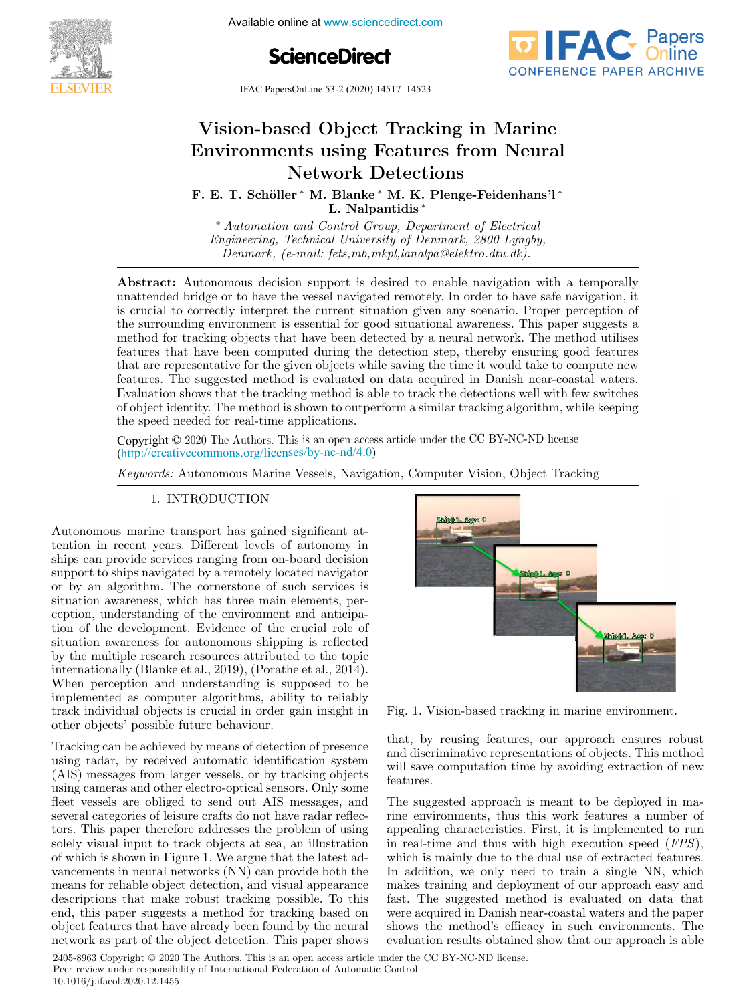

Available online at www.sciencedirect.com





IFAC PapersOnLine 53-2 (2020) 14517–14523  $\frac{1}{2}$  (based  $\frac{1}{2}$  and  $\frac{1}{2}$  and  $\frac{1}{2}$  and  $\frac{1}{2}$  and  $\frac{1}{2}$ 

#### $\overline{v}$  is the problem-based of  $\overline{v}$ vision-based Object Tracking in Marine  $N_{\text{tot}}$  detections of  $N_{\text{tot}}$ Vision-based Object Tracking in Marine Environments using Features from Neural Network Detections Vision-based Object Tracking in Marine Environments using Features from Neural Network Detections Vision-based Object Tracking in Marine Environments using Features from Neural Network Detections

F. E. T. Schöller ∗ M. Blanke ∗ M. K. Plenge-Feidenhans'l ∗ L. Nalpantidis ∗ F. E. T. Schöller <sup>∗</sup> M. Blanke <sup>∗</sup> M. K. Plenge-Feidenhans'l <sup>∗</sup>

Engineering, Technical University of Denmark, 2800 Lyngby, Denmark, (e-mail: fets,mb,mkpl,lanalpa@elektro.dtu.dk). Denmark, (e-mail: fets,mb,mkpl,lanalpa@elektro.dtu.dk). ∗ Automation and Control Group, Department of Electrical ∗ Automation and Control Group, Department of Electrical L. Nalpantidis ∗  $\sum_{i=1}^N$ 

Denmark, (e-mail: fets,mb,mkpl,lanalpa@elektro.dtu.dk).

**Abstract.** Advokolnous decision support is desired to enable havigation with a temporally unattended bridge or to have the vessel navigated remotely. In order to have safe navigation, it is crucial to correctly interpret the current situation given any scenario. Proper perception of the surrounding environment is essential for good situational awareness. This paper suggests a method for tracking objects that have been detected by a neural network. The method utilises features that have been computed during the detection step, thereby ensuring good features that are representative for the given objects while saving the time it would take to compute new features. The suggested method is evaluated on data acquired in Danish near-coastal waters. Evaluation shows that the tracking method is able to track the detections well with few switches Districts of object identity. The method is shown to outperform a similar tracking algorithm, while keeping the speed needed for real-time applications. Denmark, (e-mail: fets,mb,mkpl,lanalpa@elektro.dtu.dk). Abstract: Autonomous decision support is desired to enable navigation with a temporally of object identity. The method is shown to outperform a similar tracking algorithm, while keeping<br>the grood pooded for real time embiestions  $\mu$  unattended bridge of to have the vessel havigated remotely. In order to have safe navigation, it is crucial to correctly interpret the current situation given any scenario. Proper perception of the surrounding environment is essential for good situational awareness. This paper suggests a the surrounding environment is essential for good situational awareness. This paper suggests a<br>method for tracking objects that have been detected by a neural network. The method utilises teatures that have been computed during the detection step, thereby ensuring good features that are representative for the given objects while saving the time it would take to compute new that are representative for the given objects while saving the time it would take to compute new<br>features. The suggested method is evaluated on data acquired in Danish near-coastal waters. Evaluation shows that the tracking method is able to track the detections well with tew switches

 $\alpha$  and  $\beta$  and  $\alpha$  and  $\alpha$  and  $\alpha$  are approximated the CC BY-NC-ND license Copyright  $\odot$  2020 The Authors. This is an open access article under the CC BY-NC-ND license (http://creativecommons.org/licenses/by-nc-nd/4.0) Copyright  $\odot$  2020 The Authors. This is an open access article under the CC BY-NC-ND license

Keywords: Autonomous Marine Vessels, Navigation, Computer Vision, Object Tracking 1. International control of the control of the control of the control of the control of the control of the con Keywords: Autonomous Marine Vessels, Navigation, Computer Vision, Object Tracking

#### 1. INTRODUCTION 1. INTRODUCTION  $\overline{1}$  INTRODUCTION 1. INTRODUCTION

Autonomous marine transport has gained significant at-Autonomous maine transport has gained signmeant auships can provide services ranging from on-board decision ships can provide services ranging from on-board decision<br>support to ships navigated by a remotely located navigator or by an algorithm. The cornerstone of such services is or by an algorithm. The cornerstone of such services is situation awareness, which has three main elements, perception, understanding of the environment and anticipaecphion, understanding of the chynomical and anticipacon or the development. Evidence or the crucial role of<br>situation awareness for autonomous shipping is reflected by the multiple research resources attributed to the topic by the mattiple research resources attributed to the topic.<br>internationally (Blanke et al., 2019), (Porathe et al., 2014). When perception and understanding is supposed to be when perception and understanding is supposed to be<br>implemented as computer algorithms, ability to reliably Implemented as computer algorithms, ability to reliably<br>track individual objects is crucial in order gain insight in other objects' possible future behaviour. or by an aigorithm. The cornerstone of such services is<br>situation awareness, which has three main elements, per-<br>ception, understanding of the environment and articipatrack individual objects is crucial in order gain insight in<br>other chiests' possible future behaviour Autonomous marine transport has gained significant ator by an algorithm. The cornerstone of such services is<br>situation awareness, which has three main elements, persituation awareness for autonomous shipping is reflected

Tracking can be achieved by means of detection of presence Tracking can be achieved by means of detection of presence<br>using radar, by received automatic identification system (AIS) messages from larger vessels, or by tracking objects (ALC) messages from larger vessels, or by tracking objects<br>using cameras and other electro-optical sensors. Only some dising caller as and other electro-optical sensors. Only some<br>fleet vessels are obliged to send out AIS messages, and several categories of leisure crafts do not have radar reflecseveral categories of leisure crafts do not have radar reflec-<br>tors. This paper therefore addresses the problem of using collocated the problem of using<br>solely visual input to track objects at sea, an illustration solely visual input to track objects at sea, an illustration<br>of which is shown in Figure 1. We argue that the latest ador which is shown in Figure 1. We argue that the latest advancements in neural networks (NN) can provide both the vancements in heural networks (NN) can provide both the<br>means for reliable object detection, and visual appearance descriptions that make robust tracking possible. To this means for reliable object detection, and visual appearance<br>descriptions that make robust tracking possible. To this<br>end, this paper suggests a method for tracking based on object features that have already been found by the neural network as part of the object detection. This paper shows object features that have already been found by the neural network as part of the object detection. This paper shows Tracking can be achieved by means of detection of presence tors. This paper therefore addresses the problem of using



Fig. 1. Vision-based tracking in marine environment. Fig. 1. Vision-based tracking in marine environment. Fig. 1. Vision-based tracking in married tracking in  $\mathbf{r}$ Fig. 1. Vision-based tracking in marine environment.

that, by reusing features, our approach ensures robust and, by reasing leatures, our approach ensures robust<br>and discriminative representations of objects. This method and discriminative representations of objects. This method<br>will save computation time by avoiding extraction of new features. will save computation time by avoiding extraction of new  $\alpha$  is measured approach in mass to be dependent to be dependent to be dependent to be dependent to be dependent of  $\alpha$ that, by reusing features, our approach ensures robust

The suggested approach is meant to be deployed in ma-The suggested approach is meant to be deployed in maappealing characteristics. First, it is implemented to run appearing characteristics. First, it is implemented to fun<br>in real-time and thus with high execution speed  $(FPS)$ , In real-time and thus with high execution speed  $(115)$ ,<br>which is mainly due to the dual use of extracted features. which is mainly due to the dual use of extracted features.<br>In addition, we only need to train a single NN, which In addition, we only held to train a single NN, which makes training and deployment of our approach easy and<br>fast. The suggested method is evaluated on data that were acquired in Danish near-coastal waters and the paper were acquired in Danish near-coastal waters and the paper<br>shows the method's efficacy in such environments. The shows the method's emcacy in such environments. The evaluation results obtained show that our approach is able evaluation results obtained show that our approach is able evaluation results obtained show that our approach is able The suggested approach is meant to be deployed in mawere acquired in Danish near-coastal waters and the paper<br>shows the method's efficacy in such environments. The<br>evaluation results obtained show that our approach is able<br>der the CC BY-NC-ND license.

2405-8963 Copyright © 2020 The Authors. This is an open access article under the CC BY-NC-ND license. Peer review under responsibility of International Federation of Automatic Control. 10.1016/j.ifacol.2020.12.1455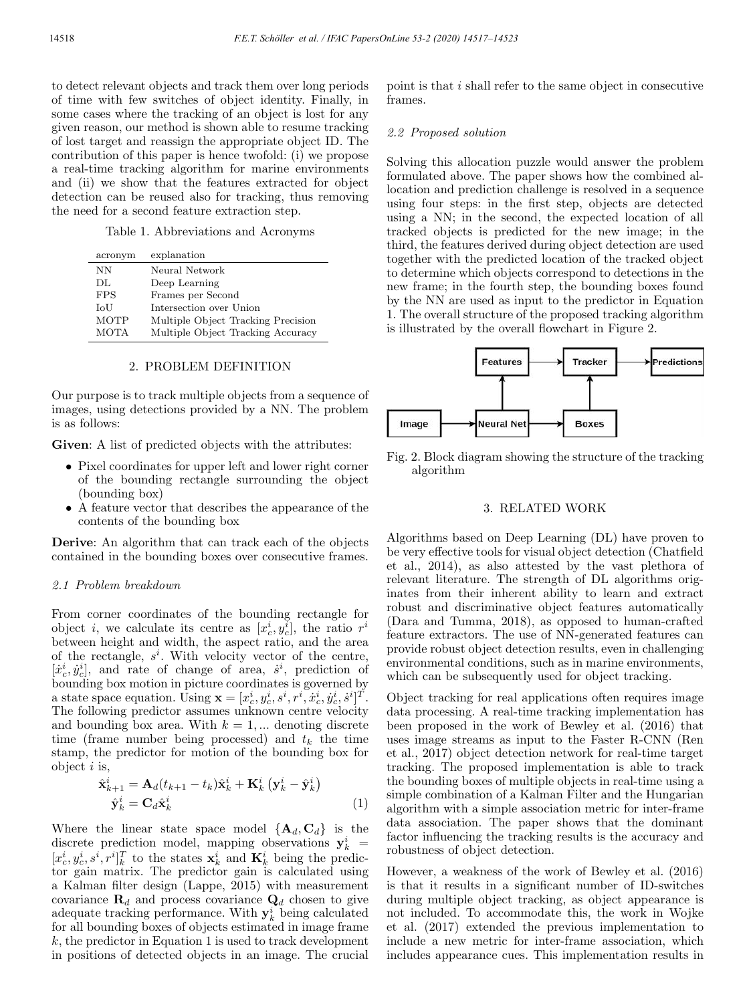to detect relevant objects and track them over long periods of time with few switches of object identity. Finally, in some cases where the tracking of an object is lost for any given reason, our method is shown able to resume tracking of lost target and reassign the appropriate object ID. The contribution of this paper is hence twofold: (i) we propose a real-time tracking algorithm for marine environments and (ii) we show that the features extracted for object detection can be reused also for tracking, thus removing the need for a second feature extraction step.

Table 1. Abbreviations and Acronyms

| acronym     | explanation                        |
|-------------|------------------------------------|
| NΝ          | Neural Network                     |
| DL.         | Deep Learning                      |
| <b>FPS</b>  | Frames per Second                  |
| IoU         | Intersection over Union            |
| <b>MOTP</b> | Multiple Object Tracking Precision |
| <b>MOTA</b> | Multiple Object Tracking Accuracy  |

#### 2. PROBLEM DEFINITION

Our purpose is to track multiple objects from a sequence of images, using detections provided by a NN. The problem is as follows:

Given: A list of predicted objects with the attributes:

- Pixel coordinates for upper left and lower right corner of the bounding rectangle surrounding the object (bounding box)
- A feature vector that describes the appearance of the contents of the bounding box

Derive: An algorithm that can track each of the objects contained in the bounding boxes over consecutive frames.

### 2.1 Problem breakdown

From corner coordinates of the bounding rectangle for object *i*, we calculate its centre as  $[x_c^i, y_c^i]$ , the ratio  $r^i$ between height and width, the aspect ratio, and the area of the rectangle,  $s^i$ . With velocity vector of the centre,  $[\dot{x}_c^i, \dot{y}_c^i]$ , and rate of change of area,  $\dot{s}^i$ , prediction of bounding box motion in picture coordinates is governed by a state space equation. Using  $\mathbf{x} = [x_c^i, y_c^i, s^i, r^i, \dot{x}_c^i, \dot{y}_c^i, \dot{s}^i]^T$ . The following predictor assumes unknown centre velocity and bounding box area. With  $k = 1, \dots$  denoting discrete time (frame number being processed) and  $t_k$  the time stamp, the predictor for motion of the bounding box for object  $i$  is,

$$
\begin{aligned} \hat{\mathbf{x}}_{k+1}^i &= \mathbf{A}_d (t_{k+1} - t_k) \hat{\mathbf{x}}_k^i + \mathbf{K}_k^i \left( \mathbf{y}_k^i - \hat{\mathbf{y}}_k^i \right) \\ \hat{\mathbf{y}}_k^i &= \mathbf{C}_d \hat{\mathbf{x}}_k^i \end{aligned} \tag{1}
$$

Where the linear state space model  ${A_d, C_d}$  is the discrete prediction model, mapping observations  $y_k^i$  =  $[x_c^i, y_c^i, s^i, r^i]_k^T$  to the states  $\mathbf{x}_k^i$  and  $\mathbf{K}_k^i$  being the predictor gain matrix. The predictor gain is calculated using a Kalman filter design (Lappe, 2015) with measurement covariance  $\mathbf{R}_d$  and process covariance  $\mathbf{Q}_d$  chosen to give adequate tracking performance. With  $y_k^i$  being calculated for all bounding boxes of objects estimated in image frame  $k$ , the predictor in Equation 1 is used to track development in positions of detected objects in an image. The crucial

point is that i shall refer to the same object in consecutive frames.

### 2.2 Proposed solution

Solving this allocation puzzle would answer the problem formulated above. The paper shows how the combined allocation and prediction challenge is resolved in a sequence using four steps: in the first step, objects are detected using a NN; in the second, the expected location of all tracked objects is predicted for the new image; in the third, the features derived during object detection are used together with the predicted location of the tracked object to determine which objects correspond to detections in the new frame; in the fourth step, the bounding boxes found by the NN are used as input to the predictor in Equation 1. The overall structure of the proposed tracking algorithm is illustrated by the overall flowchart in Figure 2.



Fig. 2. Block diagram showing the structure of the tracking algorithm

# 3. RELATED WORK

Algorithms based on Deep Learning (DL) have proven to be very effective tools for visual object detection (Chatfield et al., 2014), as also attested by the vast plethora of relevant literature. The strength of DL algorithms originates from their inherent ability to learn and extract robust and discriminative object features automatically (Dara and Tumma, 2018), as opposed to human-crafted feature extractors. The use of NN-generated features can provide robust object detection results, even in challenging environmental conditions, such as in marine environments, which can be subsequently used for object tracking.

Object tracking for real applications often requires image data processing. A real-time tracking implementation has been proposed in the work of Bewley et al. (2016) that uses image streams as input to the Faster R-CNN (Ren et al., 2017) object detection network for real-time target tracking. The proposed implementation is able to track the bounding boxes of multiple objects in real-time using a simple combination of a Kalman Filter and the Hungarian algorithm with a simple association metric for inter-frame data association. The paper shows that the dominant factor influencing the tracking results is the accuracy and robustness of object detection.

However, a weakness of the work of Bewley et al. (2016) is that it results in a significant number of ID-switches during multiple object tracking, as object appearance is not included. To accommodate this, the work in Wojke et al. (2017) extended the previous implementation to include a new metric for inter-frame association, which includes appearance cues. This implementation results in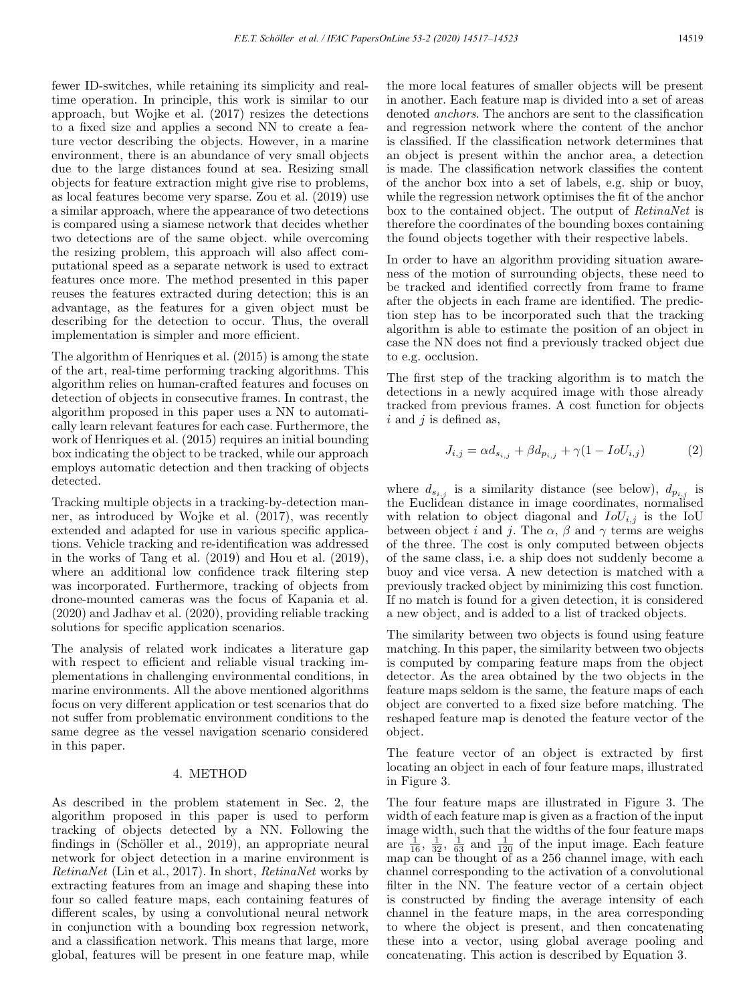fewer ID-switches, while retaining its simplicity and realtime operation. In principle, this work is similar to our approach, but Wojke et al. (2017) resizes the detections to a fixed size and applies a second NN to create a feature vector describing the objects. However, in a marine environment, there is an abundance of very small objects due to the large distances found at sea. Resizing small objects for feature extraction might give rise to problems, as local features become very sparse. Zou et al. (2019) use a similar approach, where the appearance of two detections is compared using a siamese network that decides whether two detections are of the same object. while overcoming the resizing problem, this approach will also affect computational speed as a separate network is used to extract features once more. The method presented in this paper reuses the features extracted during detection; this is an advantage, as the features for a given object must be describing for the detection to occur. Thus, the overall implementation is simpler and more efficient.

The algorithm of Henriques et al. (2015) is among the state of the art, real-time performing tracking algorithms. This algorithm relies on human-crafted features and focuses on detection of objects in consecutive frames. In contrast, the algorithm proposed in this paper uses a NN to automatically learn relevant features for each case. Furthermore, the work of Henriques et al. (2015) requires an initial bounding box indicating the object to be tracked, while our approach employs automatic detection and then tracking of objects detected.

Tracking multiple objects in a tracking-by-detection manner, as introduced by Wojke et al. (2017), was recently extended and adapted for use in various specific applications. Vehicle tracking and re-identification was addressed in the works of Tang et al. (2019) and Hou et al. (2019), where an additional low confidence track filtering step was incorporated. Furthermore, tracking of objects from drone-mounted cameras was the focus of Kapania et al. (2020) and Jadhav et al. (2020), providing reliable tracking solutions for specific application scenarios.

The analysis of related work indicates a literature gap with respect to efficient and reliable visual tracking implementations in challenging environmental conditions, in marine environments. All the above mentioned algorithms focus on very different application or test scenarios that do not suffer from problematic environment conditions to the same degree as the vessel navigation scenario considered in this paper.

# 4. METHOD

As described in the problem statement in Sec. 2, the algorithm proposed in this paper is used to perform tracking of objects detected by a NN. Following the findings in (Schöller et al., 2019), an appropriate neural network for object detection in a marine environment is RetinaNet (Lin et al., 2017). In short, RetinaNet works by extracting features from an image and shaping these into four so called feature maps, each containing features of different scales, by using a convolutional neural network in conjunction with a bounding box regression network, and a classification network. This means that large, more global, features will be present in one feature map, while

the more local features of smaller objects will be present in another. Each feature map is divided into a set of areas denoted anchors. The anchors are sent to the classification and regression network where the content of the anchor is classified. If the classification network determines that an object is present within the anchor area, a detection is made. The classification network classifies the content of the anchor box into a set of labels, e.g. ship or buoy, while the regression network optimises the fit of the anchor box to the contained object. The output of RetinaNet is therefore the coordinates of the bounding boxes containing the found objects together with their respective labels.

In order to have an algorithm providing situation awareness of the motion of surrounding objects, these need to be tracked and identified correctly from frame to frame after the objects in each frame are identified. The prediction step has to be incorporated such that the tracking algorithm is able to estimate the position of an object in case the NN does not find a previously tracked object due to e.g. occlusion.

The first step of the tracking algorithm is to match the detections in a newly acquired image with those already tracked from previous frames. A cost function for objects  $i$  and  $j$  is defined as,

$$
J_{i,j} = \alpha d_{s_{i,j}} + \beta d_{p_{i,j}} + \gamma (1 - I o U_{i,j})
$$
 (2)

where  $d_{s_{i,j}}$  is a similarity distance (see below),  $d_{p_{i,j}}$  is the Euclidean distance in image coordinates, normalised with relation to object diagonal and  $IoU_{i,j}$  is the IoU between object i and j. The  $\alpha$ ,  $\beta$  and  $\gamma$  terms are weighs of the three. The cost is only computed between objects of the same class, i.e. a ship does not suddenly become a buoy and vice versa. A new detection is matched with a previously tracked object by minimizing this cost function. If no match is found for a given detection, it is considered a new object, and is added to a list of tracked objects.

The similarity between two objects is found using feature matching. In this paper, the similarity between two objects is computed by comparing feature maps from the object detector. As the area obtained by the two objects in the feature maps seldom is the same, the feature maps of each object are converted to a fixed size before matching. The reshaped feature map is denoted the feature vector of the object.

The feature vector of an object is extracted by first locating an object in each of four feature maps, illustrated in Figure 3.

The four feature maps are illustrated in Figure 3. The width of each feature map is given as a fraction of the input image width, such that the widths of the four feature maps are  $\frac{1}{16}$ ,  $\frac{1}{32}$ ,  $\frac{1}{63}$  and  $\frac{1}{120}$  of the input image. Each feature map can be thought of as a 256 channel image, with each channel corresponding to the activation of a convolutional filter in the NN. The feature vector of a certain object is constructed by finding the average intensity of each channel in the feature maps, in the area corresponding to where the object is present, and then concatenating these into a vector, using global average pooling and concatenating. This action is described by Equation 3.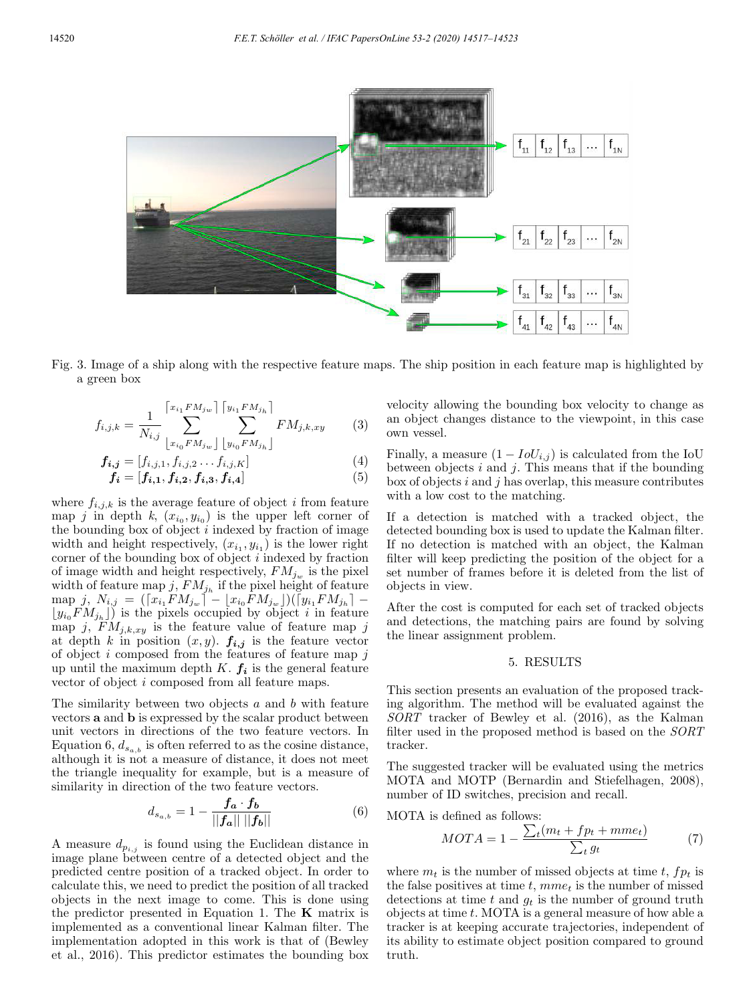

Fig. 3. Image of a ship along with the respective feature maps. The ship position in each feature map is highlighted by a green box

$$
f_{i,j,k} = \frac{1}{N_{i,j}} \sum_{\substack{[x_{i_1} \in M_{j_w}]} \sum_{\substack{[y_{i_1} \in M_{j_h}]}}^{[y_{i_1} \in M_{j_h}]} \sum_{\substack{F M_{j,k,xy}}}^{[x_{i_1} \in M_{j_w}]} \sum_{\substack{[x_{i_0} \in M_{j_w}]} \sum_{\substack{[y_{i_1} \in M_{j_h}]}}^{[x_{i_1} \in M_{j_k}]} \tag{3}
$$

$$
f_{i,j} = [f_{i,j,1}, f_{i,j,2} \dots f_{i,j,K}]
$$
  
\n
$$
f_i = [f_{i,1}, f_{i,2}, f_{i,3}, f_{i,4}]
$$
\n(4)

where  $f_{i,j,k}$  is the average feature of object i from feature map j in depth k,  $(x_{i_0}, y_{i_0})$  is the upper left corner of the bounding box of object  $i$  indexed by fraction of image width and height respectively,  $(x_{i_1}, y_{i_1})$  is the lower right corner of the bounding box of object i indexed by fraction of image width and height respectively,  $FM_{j_w}$  is the pixel width of feature map j,  $FM_{j_h}$  if the pixel height of feature  $\text{map } j, N_{i,j} = (x_{i_1} F M_{j_w}) - x_{i_0} F M_{j_w} \rfloor)(y_{i_1} F M_{j_h}) (y_{i_0}FM_{j_h}])$  is the pixels occupied by object i in feature map j,  $FM_{j,k,xy}$  is the feature value of feature map j at depth k in position  $(x, y)$ .  $f_{i,j}$  is the feature vector of object  $i$  composed from the features of feature map  $j$ up until the maximum depth  $K$ .  $f_i$  is the general feature vector of object i composed from all feature maps.

The similarity between two objects  $a$  and  $b$  with feature vectors a and b is expressed by the scalar product between unit vectors in directions of the two feature vectors. In Equation 6,  $d_{s_{a,b}}$  is often referred to as the cosine distance, although it is not a measure of distance, it does not meet the triangle inequality for example, but is a measure of similarity in direction of the two feature vectors.

$$
d_{s_{a,b}} = 1 - \frac{f_a \cdot f_b}{||f_a|| \, ||f_b||} \tag{6}
$$

A measure  $d_{p_{i,j}}$  is found using the Euclidean distance in image plane between centre of a detected object and the predicted centre position of a tracked object. In order to calculate this, we need to predict the position of all tracked objects in the next image to come. This is done using the predictor presented in Equation 1. The  $\bf{K}$  matrix is implemented as a conventional linear Kalman filter. The implementation adopted in this work is that of (Bewley et al., 2016). This predictor estimates the bounding box

velocity allowing the bounding box velocity to change as an object changes distance to the viewpoint, in this case own vessel.

Finally, a measure  $(1 - IoU_{i,j})$  is calculated from the IoU between objects  $i$  and  $j$ . This means that if the bounding box of objects  $i$  and  $j$  has overlap, this measure contributes with a low cost to the matching.

If a detection is matched with a tracked object, the detected bounding box is used to update the Kalman filter. If no detection is matched with an object, the Kalman filter will keep predicting the position of the object for a set number of frames before it is deleted from the list of objects in view.

After the cost is computed for each set of tracked objects and detections, the matching pairs are found by solving the linear assignment problem.

# 5. RESULTS

This section presents an evaluation of the proposed tracking algorithm. The method will be evaluated against the SORT tracker of Bewley et al. (2016), as the Kalman filter used in the proposed method is based on the SORT tracker.

The suggested tracker will be evaluated using the metrics MOTA and MOTP (Bernardin and Stiefelhagen, 2008), number of ID switches, precision and recall.

MOTA is defined as follows:

$$
MOTA = 1 - \frac{\sum_{t}(m_t + fp_t + mme_t)}{\sum_{t}g_t} \tag{7}
$$

where  $m_t$  is the number of missed objects at time t,  $fp_t$  is the false positives at time t,  $mme_t$  is the number of missed detections at time  $t$  and  $g_t$  is the number of ground truth objects at time t. MOTA is a general measure of how able a tracker is at keeping accurate trajectories, independent of its ability to estimate object position compared to ground truth.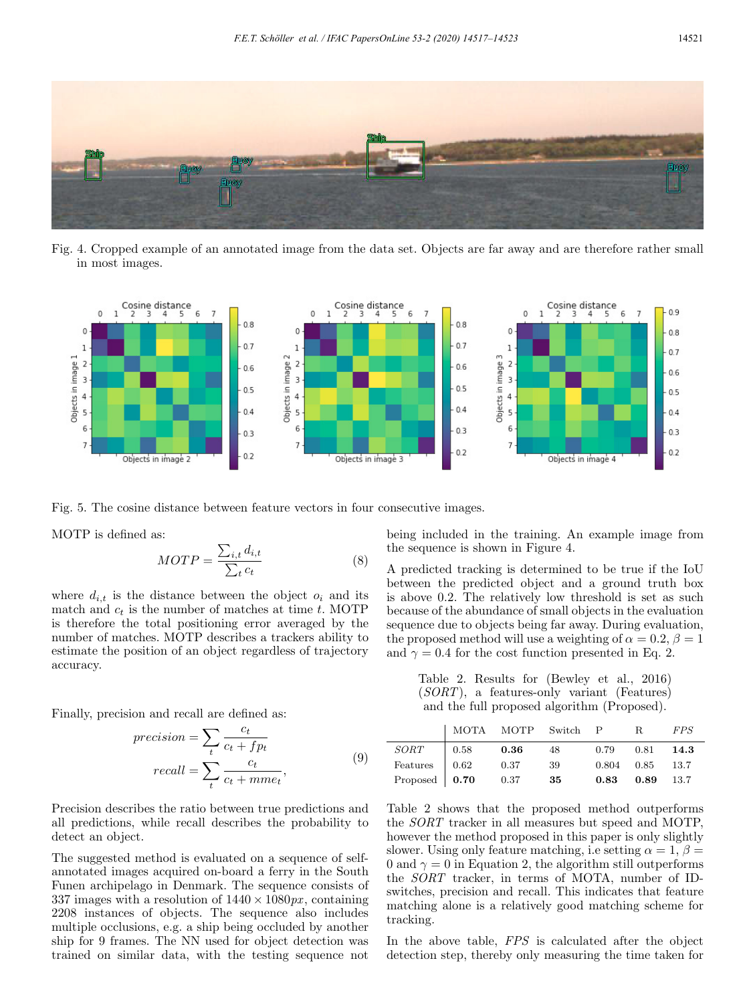

Fig. 4. Cropped example of an annotated image from the data set. Objects are far away and are therefore rather small in most images.



Fig. 5. The cosine distance between feature vectors in four consecutive images.

MOTP is defined as:

$$
MOTP = \frac{\sum_{i,t} d_{i,t}}{\sum_{t} c_t} \tag{8}
$$

where  $d_{i,t}$  is the distance between the object  $o_i$  and its match and  $c_t$  is the number of matches at time t. MOTP is therefore the total positioning error averaged by the number of matches. MOTP describes a trackers ability to estimate the position of an object regardless of trajectory accuracy.

Finally, precision and recall are defined as:

$$
precision = \sum_{t} \frac{c_t}{c_t + fp_t}
$$

$$
recall = \sum_{t} \frac{c_t}{c_t + mme_t},
$$
(9)

Precision describes the ratio between true predictions and all predictions, while recall describes the probability to detect an object.

The suggested method is evaluated on a sequence of selfannotated images acquired on-board a ferry in the South Funen archipelago in Denmark. The sequence consists of 337 images with a resolution of  $1440 \times 1080 \text{px}$ , containing 2208 instances of objects. The sequence also includes multiple occlusions, e.g. a ship being occluded by another ship for 9 frames. The NN used for object detection was trained on similar data, with the testing sequence not

being included in the training. An example image from the sequence is shown in Figure 4.

A predicted tracking is determined to be true if the IoU between the predicted object and a ground truth box is above 0.2. The relatively low threshold is set as such because of the abundance of small objects in the evaluation sequence due to objects being far away. During evaluation, the proposed method will use a weighting of  $\alpha = 0.2$ ,  $\beta = 1$ and  $\gamma = 0.4$  for the cost function presented in Eq. 2.

Table 2. Results for (Bewley et al., 2016) (SORT), a features-only variant (Features) and the full proposed algorithm (Proposed).

|                       | MOTA MOTP Switch P R                 |            |      |                    |                       | <i>FPS</i> |
|-----------------------|--------------------------------------|------------|------|--------------------|-----------------------|------------|
| $\operatorname{SORT}$ | $\begin{array}{ c} 0.58 \end{array}$ | $\bf 0.36$ | 48   | $0.79$ $0.81$ 14.3 |                       |            |
| Features $\Big  0.62$ |                                      | 0.37       | - 39 |                    | $0.804$ $0.85$ $13.7$ |            |
| Proposed   $0.70$     |                                      | 0.37       | - 35 |                    | $0.83$ $0.89$ $13.7$  |            |

Table 2 shows that the proposed method outperforms the SORT tracker in all measures but speed and MOTP, however the method proposed in this paper is only slightly slower. Using only feature matching, i.e setting  $\alpha = 1, \beta =$ 0 and  $\gamma = 0$  in Equation 2, the algorithm still outperforms the SORT tracker, in terms of MOTA, number of IDswitches, precision and recall. This indicates that feature matching alone is a relatively good matching scheme for tracking.

In the above table, FPS is calculated after the object detection step, thereby only measuring the time taken for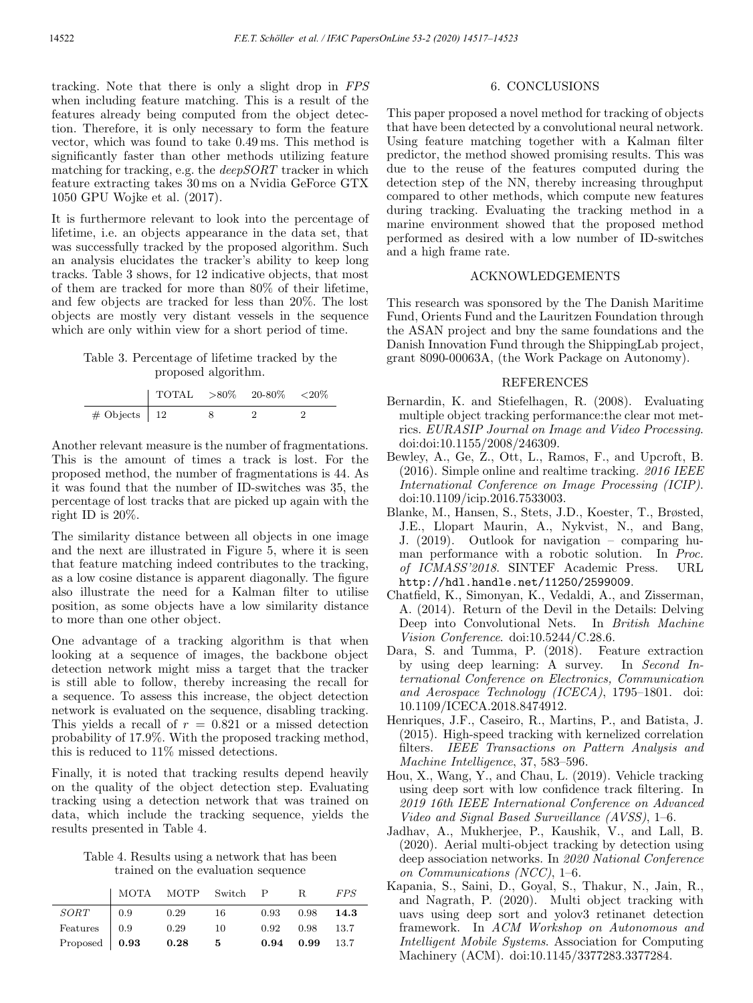tracking. Note that there is only a slight drop in FPS when including feature matching. This is a result of the features already being computed from the object detection. Therefore, it is only necessary to form the feature vector, which was found to take 0.49 ms. This method is significantly faster than other methods utilizing feature matching for tracking, e.g. the deepSORT tracker in which feature extracting takes 30 ms on a Nvidia GeForce GTX 1050 GPU Wojke et al. (2017).

It is furthermore relevant to look into the percentage of lifetime, i.e. an objects appearance in the data set, that was successfully tracked by the proposed algorithm. Such an analysis elucidates the tracker's ability to keep long tracks. Table 3 shows, for 12 indicative objects, that most of them are tracked for more than 80% of their lifetime, and few objects are tracked for less than 20%. The lost objects are mostly very distant vessels in the sequence which are only within view for a short period of time.

# Table 3. Percentage of lifetime tracked by the proposed algorithm.

|                   | TOTAL $>80\%$ 20-80% <20% |  |  |
|-------------------|---------------------------|--|--|
| $\#$ Objects   12 |                           |  |  |

Another relevant measure is the number of fragmentations. This is the amount of times a track is lost. For the proposed method, the number of fragmentations is 44. As it was found that the number of ID-switches was 35, the percentage of lost tracks that are picked up again with the right ID is 20%.

The similarity distance between all objects in one image and the next are illustrated in Figure 5, where it is seen that feature matching indeed contributes to the tracking, as a low cosine distance is apparent diagonally. The figure also illustrate the need for a Kalman filter to utilise position, as some objects have a low similarity distance to more than one other object.

One advantage of a tracking algorithm is that when looking at a sequence of images, the backbone object detection network might miss a target that the tracker is still able to follow, thereby increasing the recall for a sequence. To assess this increase, the object detection network is evaluated on the sequence, disabling tracking. This yields a recall of  $r = 0.821$  or a missed detection probability of 17.9%. With the proposed tracking method, this is reduced to 11% missed detections.

Finally, it is noted that tracking results depend heavily on the quality of the object detection step. Evaluating tracking using a detection network that was trained on data, which include the tracking sequence, yields the results presented in Table 4.

Table 4. Results using a network that has been trained on the evaluation sequence

|                       | MOTA MOTP Switch P R |            |      |      |                      | <i>FPS</i> |
|-----------------------|----------------------|------------|------|------|----------------------|------------|
| SORT                  | $\vert 0.9$          | 0.29       | - 16 |      | $0.93$ $0.98$ 14.3   |            |
| Features $\Big  0.9$  |                      | 0.29       | 10   |      | $0.92$ $0.98$ $13.7$ |            |
| Proposed $\vert$ 0.93 |                      | $\bf 0.28$ | - 5  | 0.94 | $0.99$ 13.7          |            |

# 6. CONCLUSIONS

This paper proposed a novel method for tracking of objects that have been detected by a convolutional neural network. Using feature matching together with a Kalman filter predictor, the method showed promising results. This was due to the reuse of the features computed during the detection step of the NN, thereby increasing throughput compared to other methods, which compute new features during tracking. Evaluating the tracking method in a marine environment showed that the proposed method performed as desired with a low number of ID-switches and a high frame rate.

# ACKNOWLEDGEMENTS

This research was sponsored by the The Danish Maritime Fund, Orients Fund and the Lauritzen Foundation through the ASAN project and bny the same foundations and the Danish Innovation Fund through the ShippingLab project, grant 8090-00063A, (the Work Package on Autonomy).

## REFERENCES

- Bernardin, K. and Stiefelhagen, R. (2008). Evaluating multiple object tracking performance:the clear mot metrics. EURASIP Journal on Image and Video Processing. doi:doi:10.1155/2008/246309.
- Bewley, A., Ge, Z., Ott, L., Ramos, F., and Upcroft, B. (2016). Simple online and realtime tracking. 2016 IEEE International Conference on Image Processing (ICIP). doi:10.1109/icip.2016.7533003.
- Blanke, M., Hansen, S., Stets, J.D., Koester, T., Brøsted, J.E., Llopart Maurin, A., Nykvist, N., and Bang, J. (2019). Outlook for navigation – comparing human performance with a robotic solution. In Proc. of ICMASS'2018. SINTEF Academic Press. URL http://hdl.handle.net/11250/2599009.
- Chatfield, K., Simonyan, K., Vedaldi, A., and Zisserman, A. (2014). Return of the Devil in the Details: Delving Deep into Convolutional Nets. In British Machine Vision Conference. doi:10.5244/C.28.6.
- Dara, S. and Tumma, P. (2018). Feature extraction by using deep learning: A survey. In Second International Conference on Electronics, Communication and Aerospace Technology (ICECA), 1795–1801. doi: 10.1109/ICECA.2018.8474912.
- Henriques, J.F., Caseiro, R., Martins, P., and Batista, J. (2015). High-speed tracking with kernelized correlation filters. IEEE Transactions on Pattern Analysis and Machine Intelligence, 37, 583–596.
- Hou, X., Wang, Y., and Chau, L. (2019). Vehicle tracking using deep sort with low confidence track filtering. In 2019 16th IEEE International Conference on Advanced Video and Signal Based Surveillance (AVSS), 1–6.
- Jadhav, A., Mukherjee, P., Kaushik, V., and Lall, B. (2020). Aerial multi-object tracking by detection using deep association networks. In 2020 National Conference on Communications (NCC), 1–6.
- Kapania, S., Saini, D., Goyal, S., Thakur, N., Jain, R., and Nagrath, P. (2020). Multi object tracking with uavs using deep sort and yolov3 retinanet detection framework. In ACM Workshop on Autonomous and Intelligent Mobile Systems. Association for Computing Machinery (ACM). doi:10.1145/3377283.3377284.